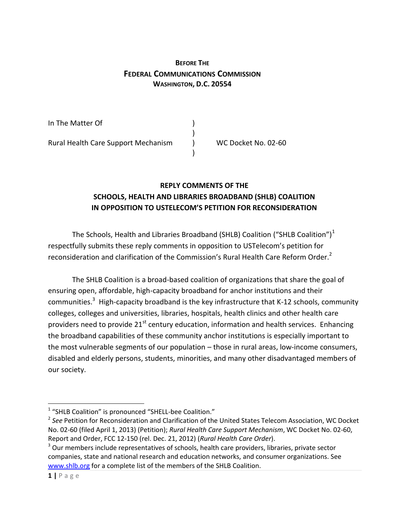## **BEFORE THE FEDERAL COMMUNICATIONS COMMISSION WASHINGTON, D.C. 20554**

In The Matter Of (1) ) Rural Health Care Support Mechanism (a) WC Docket No. 02-60 )

> **REPLY COMMENTS OF THE SCHOOLS, HEALTH AND LIBRARIES BROADBAND (SHLB) COALITION IN OPPOSITION TO USTELECOM'S PETITION FOR RECONSIDERATION**

The Schools, Health and Libraries Broadband (SHLB) Coalition ("SHLB Coalition") $<sup>1</sup>$ </sup> respectfully submits these reply comments in opposition to USTelecom's petition for reconsideration and clarification of the Commission's Rural Health Care Reform Order.<sup>2</sup>

The SHLB Coalition is a broad-based coalition of organizations that share the goal of ensuring open, affordable, high-capacity broadband for anchor institutions and their communities.<sup>3</sup> High-capacity broadband is the key infrastructure that K-12 schools, community colleges, colleges and universities, libraries, hospitals, health clinics and other health care providers need to provide  $21<sup>st</sup>$  century education, information and health services. Enhancing the broadband capabilities of these community anchor institutions is especially important to the most vulnerable segments of our population – those in rural areas, low-income consumers, disabled and elderly persons, students, minorities, and many other disadvantaged members of our society.

 $\overline{\phantom{a}}$ 

<sup>&</sup>lt;sup>1</sup> "SHLB Coalition" is pronounced "SHELL-bee Coalition."

<sup>2</sup> *See* Petition for Reconsideration and Clarification of the United States Telecom Association, WC Docket No. 02-60 (filed April 1, 2013) (Petition); *Rural Health Care Support Mechanism*, WC Docket No. 02-60, Report and Order, FCC 12-150 (rel. Dec. 21, 2012) (*Rural Health Care Order*).

 $3$  Our members include representatives of schools, health care providers, libraries, private sector companies, state and national research and education networks, and consumer organizations. See [www.shlb.org](http://www.shlb.org/) for a complete list of the members of the SHLB Coalition.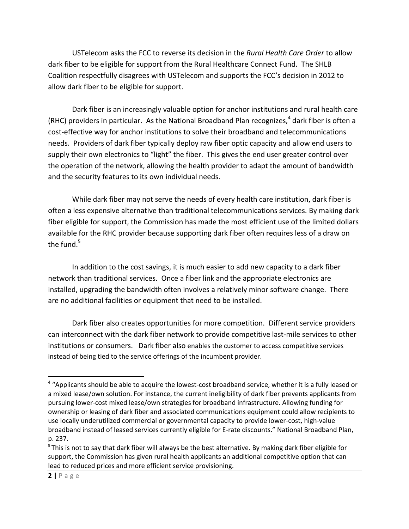USTelecom asks the FCC to reverse its decision in the *Rural Health Care Order* to allow dark fiber to be eligible for support from the Rural Healthcare Connect Fund. The SHLB Coalition respectfully disagrees with USTelecom and supports the FCC's decision in 2012 to allow dark fiber to be eligible for support.

Dark fiber is an increasingly valuable option for anchor institutions and rural health care (RHC) providers in particular. As the National Broadband Plan recognizes,<sup>4</sup> dark fiber is often a cost-effective way for anchor institutions to solve their broadband and telecommunications needs. Providers of dark fiber typically deploy raw fiber optic capacity and allow end users to supply their own electronics to "light" the fiber. This gives the end user greater control over the operation of the network, allowing the health provider to adapt the amount of bandwidth and the security features to its own individual needs.

While dark fiber may not serve the needs of every health care institution, dark fiber is often a less expensive alternative than traditional telecommunications services. By making dark fiber eligible for support, the Commission has made the most efficient use of the limited dollars available for the RHC provider because supporting dark fiber often requires less of a draw on the fund. $5$ 

In addition to the cost savings, it is much easier to add new capacity to a dark fiber network than traditional services. Once a fiber link and the appropriate electronics are installed, upgrading the bandwidth often involves a relatively minor software change. There are no additional facilities or equipment that need to be installed.

Dark fiber also creates opportunities for more competition. Different service providers can interconnect with the dark fiber network to provide competitive last-mile services to other institutions or consumers. Dark fiber also enables the customer to access competitive services instead of being tied to the service offerings of the incumbent provider.

 $\overline{\phantom{a}}$ 

<sup>&</sup>lt;sup>4</sup> "Applicants should be able to acquire the lowest-cost broadband service, whether it is a fully leased or a mixed lease/own solution. For instance, the current ineligibility of dark fiber prevents applicants from pursuing lower-cost mixed lease/own strategies for broadband infrastructure. Allowing funding for ownership or leasing of dark fiber and associated communications equipment could allow recipients to use locally underutilized commercial or governmental capacity to provide lower-cost, high-value broadband instead of leased services currently eligible for E-rate discounts." National Broadband Plan, p. 237.

<sup>&</sup>lt;sup>5</sup> This is not to say that dark fiber will always be the best alternative. By making dark fiber eligible for support, the Commission has given rural health applicants an additional competitive option that can lead to reduced prices and more efficient service provisioning.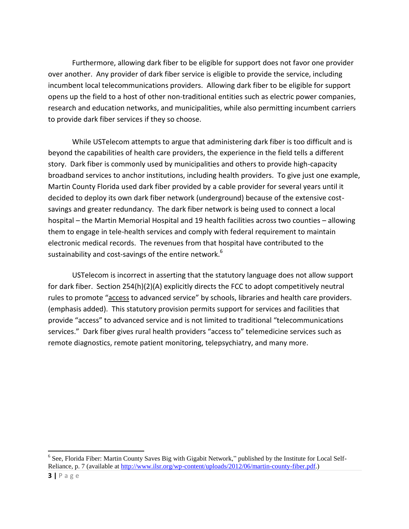Furthermore, allowing dark fiber to be eligible for support does not favor one provider over another. Any provider of dark fiber service is eligible to provide the service, including incumbent local telecommunications providers. Allowing dark fiber to be eligible for support opens up the field to a host of other non-traditional entities such as electric power companies, research and education networks, and municipalities, while also permitting incumbent carriers to provide dark fiber services if they so choose.

While USTelecom attempts to argue that administering dark fiber is too difficult and is beyond the capabilities of health care providers, the experience in the field tells a different story. Dark fiber is commonly used by municipalities and others to provide high-capacity broadband services to anchor institutions, including health providers. To give just one example, Martin County Florida used dark fiber provided by a cable provider for several years until it decided to deploy its own dark fiber network (underground) because of the extensive costsavings and greater redundancy. The dark fiber network is being used to connect a local hospital – the Martin Memorial Hospital and 19 health facilities across two counties – allowing them to engage in tele-health services and comply with federal requirement to maintain electronic medical records. The revenues from that hospital have contributed to the sustainability and cost-savings of the entire network.<sup>6</sup>

USTelecom is incorrect in asserting that the statutory language does not allow support for dark fiber. Section 254(h)(2)(A) explicitly directs the FCC to adopt competitively neutral rules to promote "access to advanced service" by schools, libraries and health care providers. (emphasis added). This statutory provision permits support for services and facilities that provide "access" to advanced service and is not limited to traditional "telecommunications services." Dark fiber gives rural health providers "access to" telemedicine services such as remote diagnostics, remote patient monitoring, telepsychiatry, and many more.

l

<sup>&</sup>lt;sup>6</sup> See, Florida Fiber: Martin County Saves Big with Gigabit Network," published by the Institute for Local Self-Reliance, p. 7 (available at [http://www.ilsr.org/wp-content/uploads/2012/06/martin-county-fiber.pdf.](http://www.ilsr.org/wp-content/uploads/2012/06/martin-county-fiber.pdf))